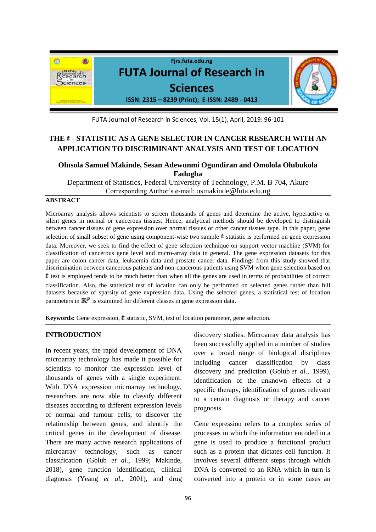

FUTA Journal of Research in Sciences, Vol. 15(1), April, 2019: 96-101

# THE **t** - STATISTIC AS A GENE SELECTOR IN CANCER RESEARCH WITH AN **APPLICATION TO DISCRIMINANT ANALYSIS AND TEST OF LOCATION**

# **Olusola Samuel Makinde, Sesan Adewunmi Ogundiran and Omolola Olubukola Fadugba**

Department of Statistics, Federal University of Technology, P.M. B 704, Akure Corresponding Author's e-mail: osmakinde@futa.edu.ng

## **ABSTRACT**

Microarray analysis allows scientists to screen thousands of genes and determine the active, hyperactive or silent genes in normal or cancerous tissues. Hence, analytical methods should be developed to distinguish between cancer tissues of gene expression over normal tissues or other cancer tissues type. In this paper, gene selection of small subset of gene using component-wise two sample  $t$  statistic is performed on gene expression data. Moreover, we seek to find the effect of gene selection technique on support vector machine (SVM) for classification of cancerous gene level and micro-array data in general. The gene expression datasets for this paper are colon cancer data, leukaemia data and prostate cancer data. Findings from this study showed that discrimination between cancerous patients and non-cancerous patients using SVM when gene selection based on  $t$  test is employed tends to be much better than when all the genes are used in terms of probabilities of correct classification. Also, the statistical test of location can only be performed on selected genes rather than full datasets because of sparsity of gene expression data. Using the selected genes, a statistical test of location parameters in  $\mathbb{R}^p$  is examined for different classes in gene expression data.

Keywords: Gene expression, t statistic, SVM, test of location parameter, gene selection.

## **INTRODUCTION**

In recent years, the rapid development of DNA microarray technology has made it possible for scientists to monitor the expression level of thousands of genes with a single experiment. With DNA expression microarray technology, researchers are now able to classify different diseases according to different expression levels of normal and tumour cells, to discover the relationship between genes, and identify the critical genes in the development of disease. There are many active research applications of microarray technology, such as cancer classification (Golub *et al.,* 1999; Makinde, 2018), gene function identification, clinical diagnosis (Yeang *et al.,* 2001), and drug

discovery studies. Microarray data analysis has been successfully applied in a number of studies over a broad range of biological disciplines including cancer classification by class discovery and prediction (Golub *et al*., 1999), identification of the unknown effects of a specific therapy, identification of genes relevant to a certain diagnosis or therapy and cancer prognosis.

Gene expression refers to a complex series of processes in which the information encoded in a gene is used to produce a functional product such as a protein that dictates cell function. It involves several different steps through which DNA is converted to an RNA which in turn is converted into a protein or in some cases an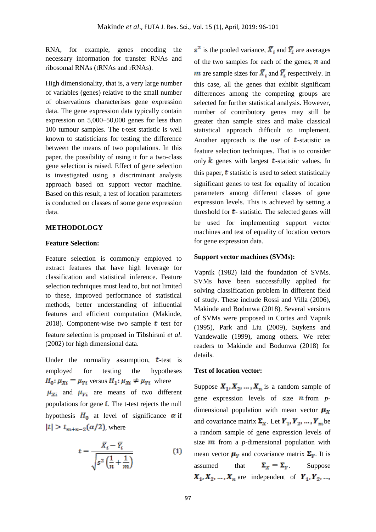RNA, for example, genes encoding the necessary information for transfer RNAs and ribosomal RNAs (tRNAs and rRNAs).

High dimensionality, that is, a very large number of variables (genes) relative to the small number of observations characterises gene expression data. The gene expression data typically contain expression on 5,000–50,000 genes for less than 100 tumour samples. The t-test statistic is well known to statisticians for testing the difference between the means of two populations. In this paper, the possibility of using it for a two-class gene selection is raised. Effect of gene selection is investigated using a discriminant analysis approach based on support vector machine. Based on this result, a test of location parameters is conducted on classes of some gene expression data.

### **METHODOLOGY**

### **Feature Selection:**

Feature selection is commonly employed to extract features that have high leverage for classification and statistical inference. Feature selection techniques must lead to, but not limited to these, improved performance of statistical methods, better understanding of influential features and efficient computation (Makinde, 2018). Component-wise two sample  $t$  test for feature selection is proposed in Tibshirani *et al*. (2002) for high dimensional data.

Under the normality assumption,  $t$ -test is employed for testing the hypotheses  $H_0: \mu_{Xi} = \mu_{Y_i}$  versus  $H_1: \mu_{Xi} \neq \mu_{Y_i}$  where  $\mu_{Xi}$  and  $\mu_{Yi}$  are means of two different populations for gene  $\mathbf{i}$ . The t-test rejects the null hypothesis  $H_0$  at level of significance  $\alpha$  if  $|t| > t_{m+n-2}(\alpha/2)$ , where

$$
t = \frac{\bar{X}_i - \bar{Y}_i}{\sqrt{s^2 \left(\frac{1}{n} + \frac{1}{m}\right)}}\tag{1}
$$

 $s^2$  is the pooled variance,  $\overline{X}_i$  and  $\overline{Y}_i$  are averages of the two samples for each of the genes,  $\boldsymbol{n}$  and **m** are sample sizes for  $\overline{X}_i$  and  $\overline{Y}_i$  respectively. In this case, all the genes that exhibit significant differences among the competing groups are selected for further statistical analysis. However, number of contributory genes may still be greater than sample sizes and make classical statistical approach difficult to implement. Another approach is the use of *-statistic as* feature selection techniques. That is to consider only  $k$  genes with largest **t**-statistic values. In this paper,  $t$  statistic is used to select statistically significant genes to test for equality of location parameters among different classes of gene expression levels. This is achieved by setting a threshold for  $t$ - statistic. The selected genes will be used for implementing support vector machines and test of equality of location vectors for gene expression data.

### **Support vector machines (SVMs):**

Vapnik (1982) laid the foundation of SVMs. SVMs have been successfully applied for solving classification problem in different field of study. These include Rossi and Villa (2006), Makinde and Bodunwa (2018). Several versions of SVMs were proposed in Cortes and Vapnik (1995), Park and Liu (2009), Suykens and Vandewalle (1999), among others. We refer readers to Makinde and Bodunwa (2018) for details.

## **Test of location vector:**

Suppose  $X_1, X_2, ..., X_n$  is a random sample of gene expression levels of size  $\boldsymbol{n}$  from  $p$ dimensional population with mean vector  $\mu_{\overline{x}}$ and covariance matrix  $\Sigma_{x}$ . Let  $Y_1, Y_2, ..., Y_m$  be a random sample of gene expression levels of size  $\boldsymbol{m}$  from a *p*-dimensional population with mean vector  $\mu_Y$  and covariance matrix  $\Sigma_Y$ . It is assumed that  $\Sigma_x = \Sigma_y$  Suppose  $X_1, X_2, \ldots, X_n$  are independent of  $Y_1, Y_2, \ldots, Y_n$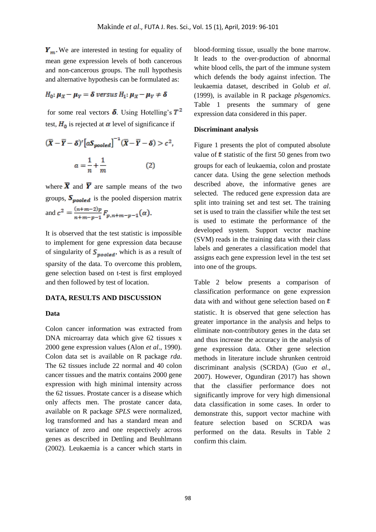$Y_m$ . We are interested in testing for equality of mean gene expression levels of both cancerous and non-cancerous groups. The null hypothesis and alternative hypothesis can be formulated as:

# $H_0: \mu_X - \mu_Y = \delta$  versus  $H_1: \mu_X - \mu_Y \neq \delta$

for some real vectors  $\delta$ . Using Hotelling's  $T^2$ test,  $H_0$  is rejected at  $\alpha$  level of significance if

$$
(\overline{X} - \overline{Y} - \delta)' [aS_{pooled}]^{-1} (\overline{X} - \overline{Y} - \delta) > c^2,
$$
  

$$
a = \frac{1}{n} + \frac{1}{m}
$$
 (2)

where  $\bar{\mathbf{X}}$  and  $\bar{\mathbf{Y}}$  are sample means of the two groups,  $S_{pooled}$  is the pooled dispersion matrix and  $c^2 = \frac{(n+m-2)p}{n+m-p-1} F_{p,n+m-p-1}(\alpha)$ .

It is observed that the test statistic is impossible to implement for gene expression data because of singularity of  $S_{pooled}$ , which is as a result of sparsity of the data. To overcome this problem, gene selection based on t-test is first employed and then followed by test of location.

### **DATA, RESULTS AND DISCUSSION**

#### **Data**

Colon cancer information was extracted from DNA microarray data which give 62 tissues x 2000 gene expression values (Alon *et al*., 1990). Colon data set is available on R package *rda*. The 62 tissues include 22 normal and 40 colon cancer tissues and the matrix contains 2000 gene expression with high minimal intensity across the 62 tissues. Prostate cancer is a disease which only affects men. The prostate cancer data, available on R package *SPLS* were normalized, log transformed and has a standard mean and variance of zero and one respectively across genes as described in Dettling and Beuhlmann (2002). Leukaemia is a cancer which starts in blood-forming tissue, usually the bone marrow. It leads to the over-production of abnormal white blood cells, the part of the immune system which defends the body against infection. The leukaemia dataset, described in Golub *et al*. (1999), is available in R package *plsgenomics*. Table 1 presents the summary of gene expression data considered in this paper.

#### **Discriminant analysis**

Figure 1 presents the plot of computed absolute value of  *statistic of the first 50 genes from two* groups for each of leukaemia, colon and prostate cancer data. Using the gene selection methods described above, the informative genes are selected. The reduced gene expression data are split into training set and test set. The training set is used to train the classifier while the test set is used to estimate the performance of the developed system. Support vector machine (SVM) reads in the training data with their class labels and generates a classification model that assigns each gene expression level in the test set into one of the groups.

Table 2 below presents a comparison of classification performance on gene expression data with and without gene selection based on  $t$ statistic. It is observed that gene selection has greater importance in the analysis and helps to eliminate non-contributory genes in the data set and thus increase the accuracy in the analysis of gene expression data. Other gene selection methods in literature include shrunken centroid discriminant analysis (SCRDA) (Guo *et al*., 2007). However, Ogundiran (2017) has shown that the classifier performance does not significantly improve for very high dimensional data classification in some cases. In order to demonstrate this, support vector machine with feature selection based on SCRDA was performed on the data. Results in Table 2 confirm this claim.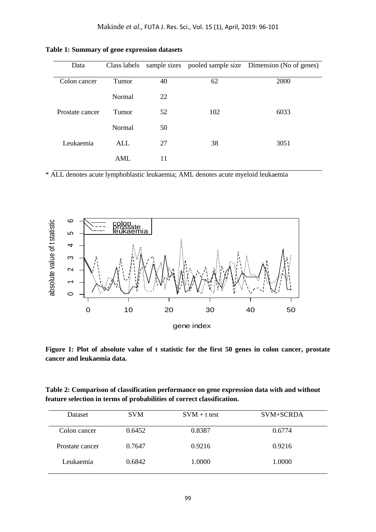| Data            | Class labels |    |     | sample sizes pooled sample size Dimension (No of genes) |  |
|-----------------|--------------|----|-----|---------------------------------------------------------|--|
| Colon cancer    | Tumor        | 40 | 62  | 2000                                                    |  |
|                 | Normal       | 22 |     |                                                         |  |
| Prostate cancer | Tumor        | 52 | 102 | 6033                                                    |  |
|                 | Normal       | 50 |     |                                                         |  |
| Leukaemia       | ALL          | 27 | 38  | 3051                                                    |  |
|                 | AML          | 11 |     |                                                         |  |

**Table 1: Summary of gene expression datasets**

\* ALL denotes acute lymphoblastic leukaemia; AML denotes acute myeloid leukaemia



**Figure 1: Plot of absolute value of t statistic for the first 50 genes in colon cancer, prostate cancer and leukaemia data.**

**Table 2: Comparison of classification performance on gene expression data with and without feature selection in terms of probabilities of correct classification.**

| Dataset         | <b>SVM</b> | $SVM + t test$ | SVM+SCRDA |
|-----------------|------------|----------------|-----------|
| Colon cancer    | 0.6452     | 0.8387         | 0.6774    |
| Prostate cancer | 0.7647     | 0.9216         | 0.9216    |
| Leukaemia       | 0.6842     | 1.0000         | 1.0000    |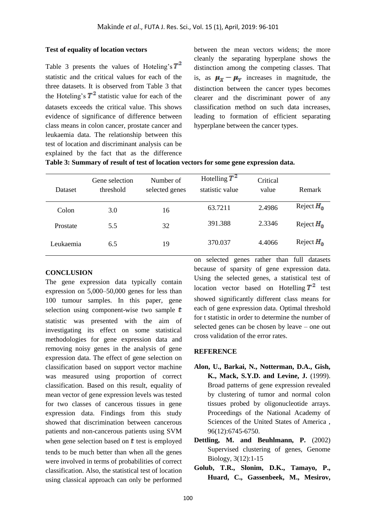## **Test of equality of location vectors**

Table 3 presents the values of Hoteling's  $T^2$ statistic and the critical values for each of the three datasets. It is observed from Table 3 that the Hoteling's  $T^2$  statistic value for each of the datasets exceeds the critical value. This shows evidence of significance of difference between class means in colon cancer, prostate cancer and leukaemia data. The relationship between this test of location and discriminant analysis can be explained by the fact that as the difference

between the mean vectors widens; the more cleanly the separating hyperplane shows the distinction among the competing classes. That is, as  $\mu_X - \mu_Y$  increases in magnitude, the distinction between the cancer types becomes clearer and the discriminant power of any classification method on such data increases, leading to formation of efficient separating hyperplane between the cancer types.

# **Table 3: Summary of result of test of location vectors for some gene expression data.**

| Dataset   | Gene selection<br>threshold | Number of<br>selected genes | Hotelling $T^2$<br>statistic value | Critical<br>value | Remark       |
|-----------|-----------------------------|-----------------------------|------------------------------------|-------------------|--------------|
| Colon     | 3.0                         | 16                          | 63.7211                            | 2.4986            | Reject $H_0$ |
| Prostate  | 5.5                         | 32                          | 391.388                            | 2.3346            | Reject $H_0$ |
| Leukaemia | 6.5                         | 19                          | 370.037                            | 4.4066            | Reject $H_0$ |

## **CONCLUSION**

The gene expression data typically contain expression on 5,000–50,000 genes for less than 100 tumour samples. In this paper, gene selection using component-wise two sample  $t$ statistic was presented with the aim of investigating its effect on some statistical methodologies for gene expression data and removing noisy genes in the analysis of gene expression data. The effect of gene selection on classification based on support vector machine was measured using proportion of correct classification. Based on this result, equality of mean vector of gene expression levels was tested for two classes of cancerous tissues in gene expression data. Findings from this study showed that discrimination between cancerous patients and non-cancerous patients using SVM when gene selection based on  $t$  test is employed

tends to be much better than when all the genes were involved in terms of probabilities of correct classification. Also, the statistical test of location using classical approach can only be performed

on selected genes rather than full datasets because of sparsity of gene expression data. Using the selected genes, a statistical test of location vector based on Hotelling  $T^2$  test showed significantly different class means for each of gene expression data. Optimal threshold for t statistic in order to determine the number of selected genes can be chosen by leave – one out cross validation of the error rates.

# **REFERENCE**

- **Alon, U., Barkai, N., Notterman, D.A., Gish, K., Mack, S.Y.D. and Levine, J.** (1999). Broad patterns of gene expression revealed by clustering of tumor and normal colon tissues probed by oligonucleotide arrays. Proceedings of the National Academy of Sciences of the United States of America , 96(12):6745-6750.
- **Dettling, M. and Beuhlmann, P.** (2002) Supervised clustering of genes, Genome Biology, 3(12):1-15
- **Golub, T.R., Slonim, D.K., Tamayo, P., Huard, C., Gassenbeek, M., Mesirov,**